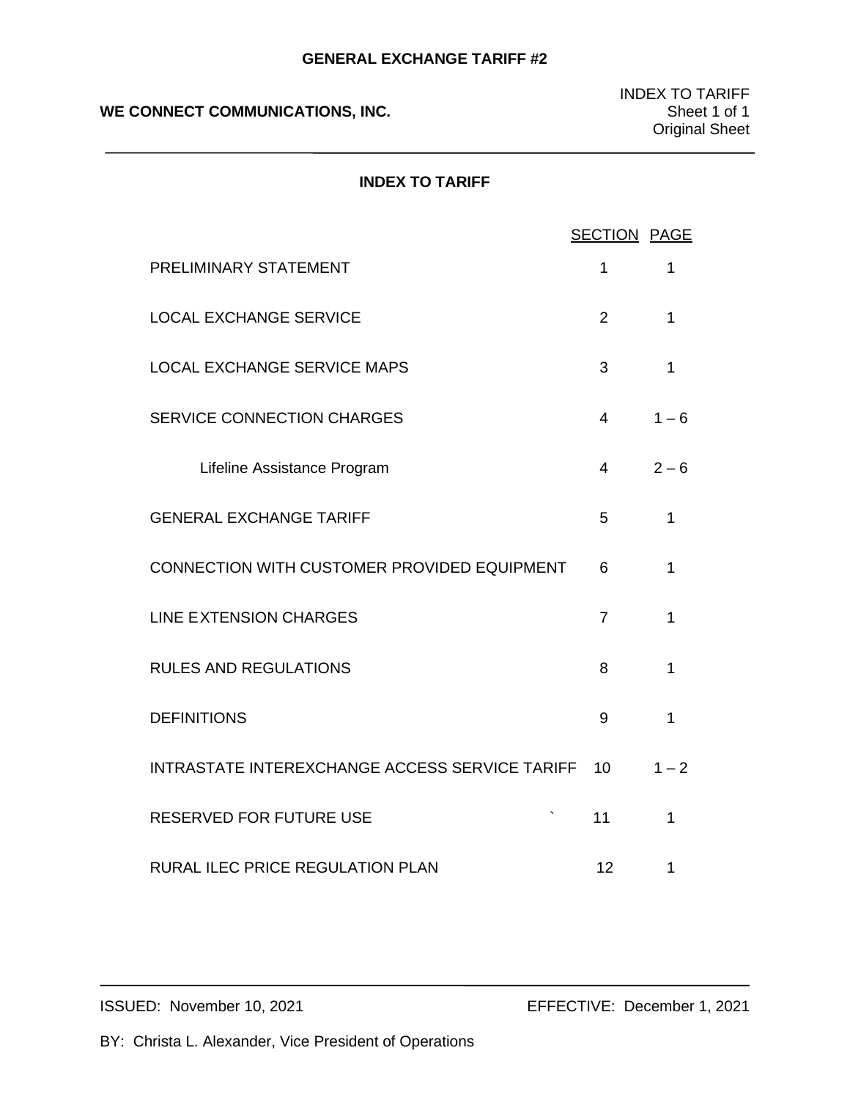### **INDEX TO TARIFF**

|                                                | <b>SECTION PAGE</b> |         |
|------------------------------------------------|---------------------|---------|
| PRELIMINARY STATEMENT                          | 1                   | 1       |
| <b>LOCAL EXCHANGE SERVICE</b>                  | $\overline{2}$      | 1       |
| <b>LOCAL EXCHANGE SERVICE MAPS</b>             | 3                   | 1       |
| <b>SERVICE CONNECTION CHARGES</b>              | 4                   | $1 - 6$ |
| Lifeline Assistance Program                    | 4                   | $2 - 6$ |
| <b>GENERAL EXCHANGE TARIFF</b>                 | 5                   | 1       |
| CONNECTION WITH CUSTOMER PROVIDED EQUIPMENT    | 6                   | 1       |
| <b>LINE EXTENSION CHARGES</b>                  | $\overline{7}$      | 1       |
| <b>RULES AND REGULATIONS</b>                   | 8                   | 1       |
| <b>DEFINITIONS</b>                             | 9                   | 1       |
| INTRASTATE INTEREXCHANGE ACCESS SERVICE TARIFF | 10                  | $1 - 2$ |
| <b>RESERVED FOR FUTURE USE</b>                 | 11                  | 1       |
| RURAL ILEC PRICE REGULATION PLAN               | 12                  | 1       |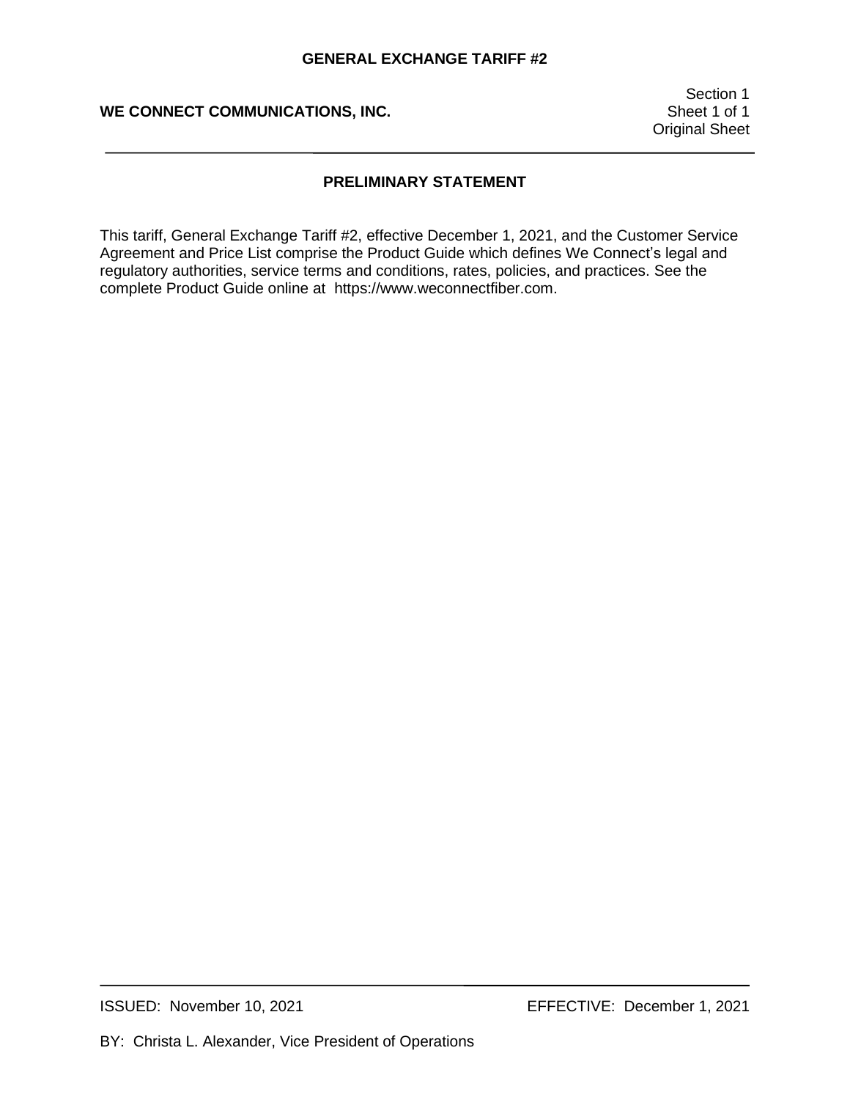Section 1 Original Sheet

# **PRELIMINARY STATEMENT**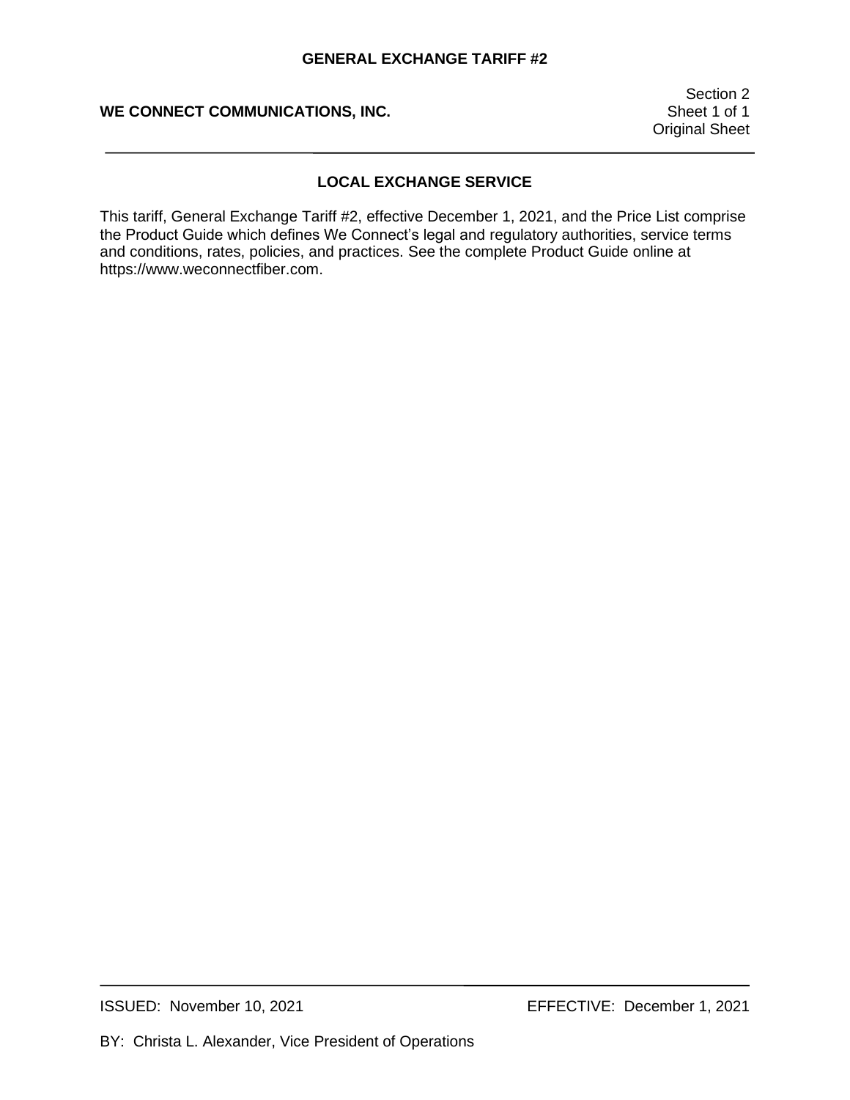Section 2 Original Sheet

## **LOCAL EXCHANGE SERVICE**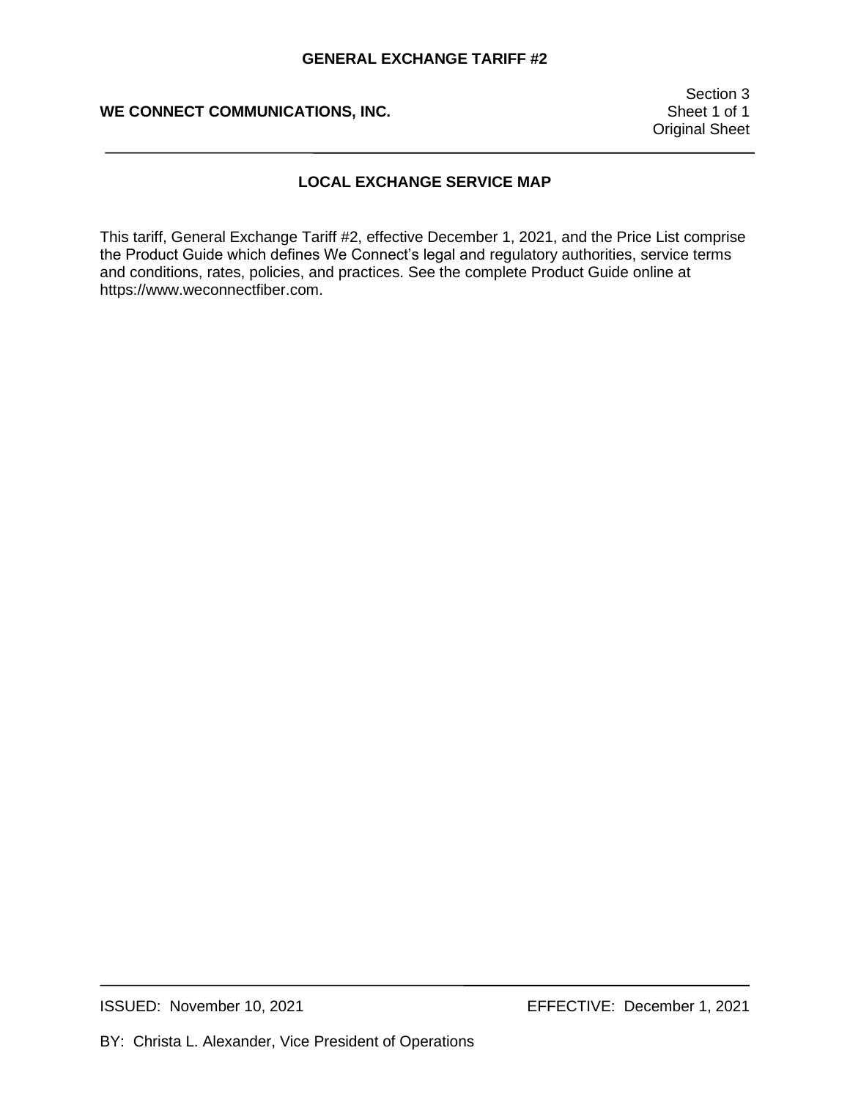Section 3 Original Sheet

## **LOCAL EXCHANGE SERVICE MAP**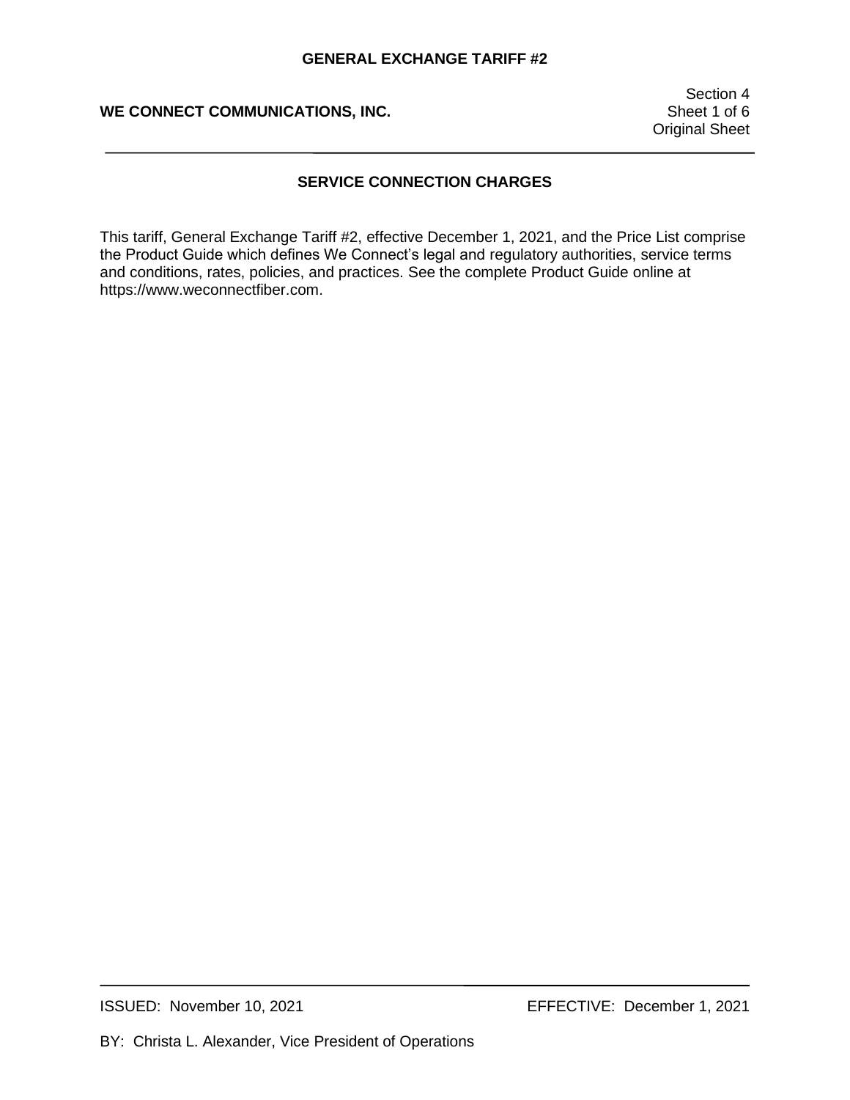Section 4 Original Sheet

## **SERVICE CONNECTION CHARGES**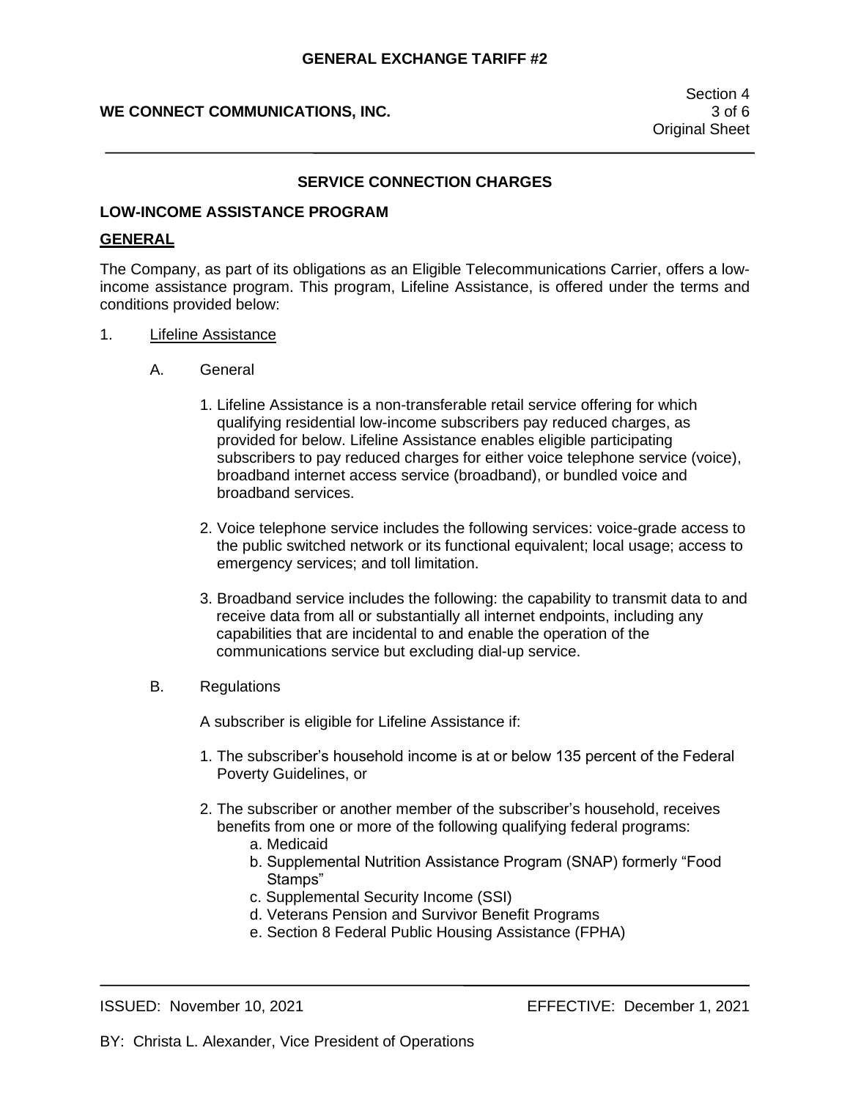# **WE CONNECT COMMUNICATIONS, INC.** And the state of  $\frac{3}{10}$  of 6

#### **SERVICE CONNECTION CHARGES**

#### **LOW-INCOME ASSISTANCE PROGRAM**

### **GENERAL**

The Company, as part of its obligations as an Eligible Telecommunications Carrier, offers a lowincome assistance program. This program, Lifeline Assistance, is offered under the terms and conditions provided below:

- 1. **Lifeline Assistance** 
	- A. General
		- 1. Lifeline Assistance is a non-transferable retail service offering for which qualifying residential low-income subscribers pay reduced charges, as provided for below. Lifeline Assistance enables eligible participating subscribers to pay reduced charges for either voice telephone service (voice), broadband internet access service (broadband), or bundled voice and broadband services.
		- 2. Voice telephone service includes the following services: voice-grade access to the public switched network or its functional equivalent; local usage; access to emergency services; and toll limitation.
		- 3. Broadband service includes the following: the capability to transmit data to and receive data from all or substantially all internet endpoints, including any capabilities that are incidental to and enable the operation of the communications service but excluding dial-up service.
	- B. Regulations

A subscriber is eligible for Lifeline Assistance if:

- 1. The subscriber's household income is at or below 135 percent of the Federal Poverty Guidelines, or
- 2. The subscriber or another member of the subscriber's household, receives benefits from one or more of the following qualifying federal programs:
	- a. Medicaid
	- b. Supplemental Nutrition Assistance Program (SNAP) formerly "Food Stamps"
	- c. Supplemental Security Income (SSI)
	- d. Veterans Pension and Survivor Benefit Programs
	- e. Section 8 Federal Public Housing Assistance (FPHA)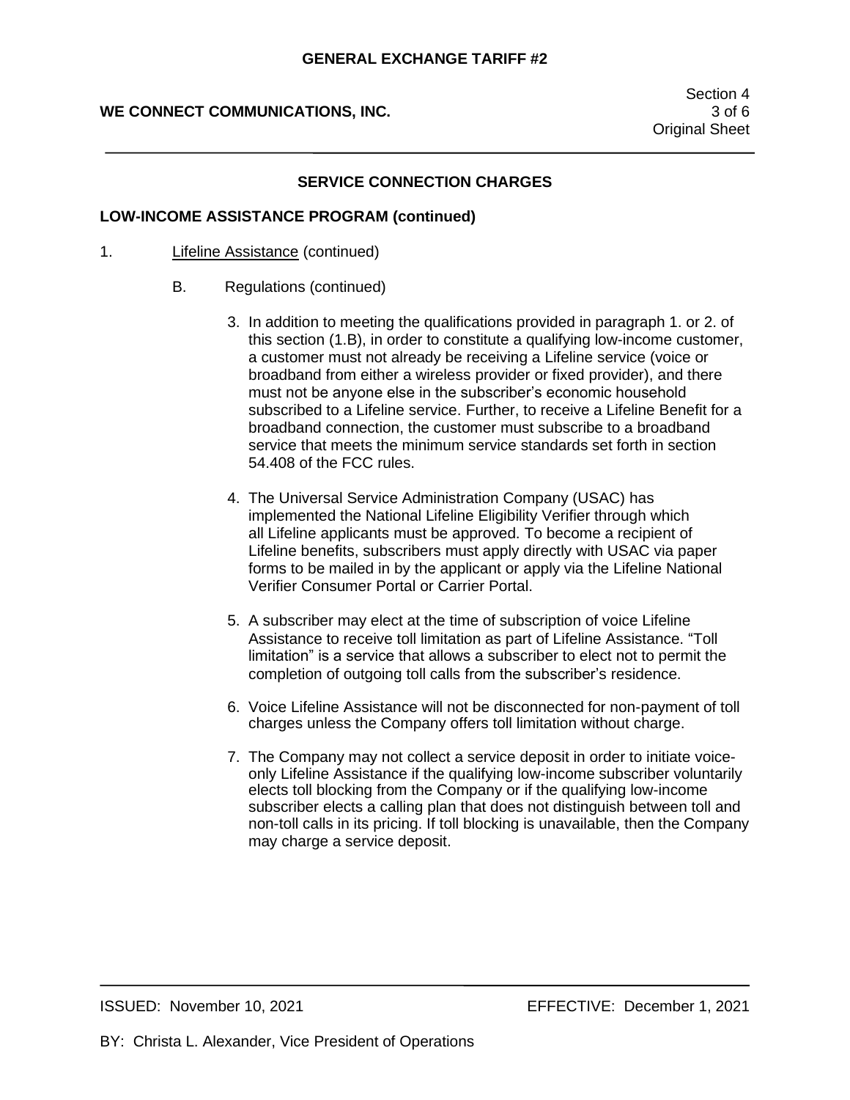# **WE CONNECT COMMUNICATIONS, INC.** And the state of  $\frac{3}{10}$  of 6

### **SERVICE CONNECTION CHARGES**

#### **LOW-INCOME ASSISTANCE PROGRAM (continued)**

- 1. Lifeline Assistance (continued)
	- B. Regulations (continued)
		- 3. In addition to meeting the qualifications provided in paragraph 1. or 2. of this section (1.B), in order to constitute a qualifying low-income customer, a customer must not already be receiving a Lifeline service (voice or broadband from either a wireless provider or fixed provider), and there must not be anyone else in the subscriber's economic household subscribed to a Lifeline service. Further, to receive a Lifeline Benefit for a broadband connection, the customer must subscribe to a broadband service that meets the minimum service standards set forth in section 54.408 of the FCC rules.
		- 4. The Universal Service Administration Company (USAC) has implemented the National Lifeline Eligibility Verifier through which all Lifeline applicants must be approved. To become a recipient of Lifeline benefits, subscribers must apply directly with USAC via paper forms to be mailed in by the applicant or apply via the Lifeline National Verifier Consumer Portal or Carrier Portal.
		- 5. A subscriber may elect at the time of subscription of voice Lifeline Assistance to receive toll limitation as part of Lifeline Assistance. "Toll limitation" is a service that allows a subscriber to elect not to permit the completion of outgoing toll calls from the subscriber's residence.
		- 6. Voice Lifeline Assistance will not be disconnected for non-payment of toll charges unless the Company offers toll limitation without charge.
		- 7. The Company may not collect a service deposit in order to initiate voice only Lifeline Assistance if the qualifying low-income subscriber voluntarily elects toll blocking from the Company or if the qualifying low-income subscriber elects a calling plan that does not distinguish between toll and non-toll calls in its pricing. If toll blocking is unavailable, then the Company may charge a service deposit.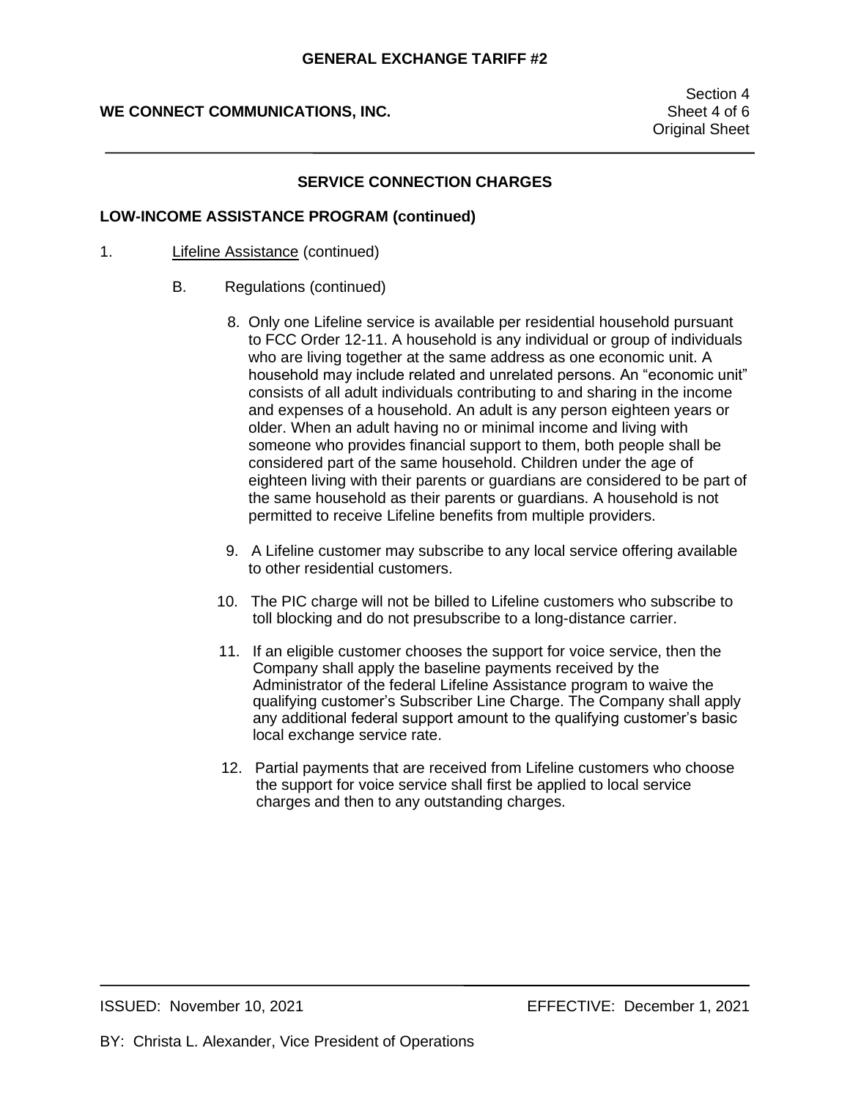### **SERVICE CONNECTION CHARGES**

#### **LOW-INCOME ASSISTANCE PROGRAM (continued)**

- 1. Lifeline Assistance (continued)
	- B. Regulations (continued)
		- 8. Only one Lifeline service is available per residential household pursuant to FCC Order 12-11. A household is any individual or group of individuals who are living together at the same address as one economic unit. A household may include related and unrelated persons. An "economic unit" consists of all adult individuals contributing to and sharing in the income and expenses of a household. An adult is any person eighteen years or older. When an adult having no or minimal income and living with someone who provides financial support to them, both people shall be considered part of the same household. Children under the age of eighteen living with their parents or guardians are considered to be part of the same household as their parents or guardians. A household is not permitted to receive Lifeline benefits from multiple providers.
		- 9. A Lifeline customer may subscribe to any local service offering available to other residential customers.
		- 10. The PIC charge will not be billed to Lifeline customers who subscribe to toll blocking and do not presubscribe to a long-distance carrier.
		- 11. If an eligible customer chooses the support for voice service, then the Company shall apply the baseline payments received by the Administrator of the federal Lifeline Assistance program to waive the qualifying customer's Subscriber Line Charge. The Company shall apply any additional federal support amount to the qualifying customer's basic local exchange service rate.
		- 12. Partial payments that are received from Lifeline customers who choose the support for voice service shall first be applied to local service charges and then to any outstanding charges.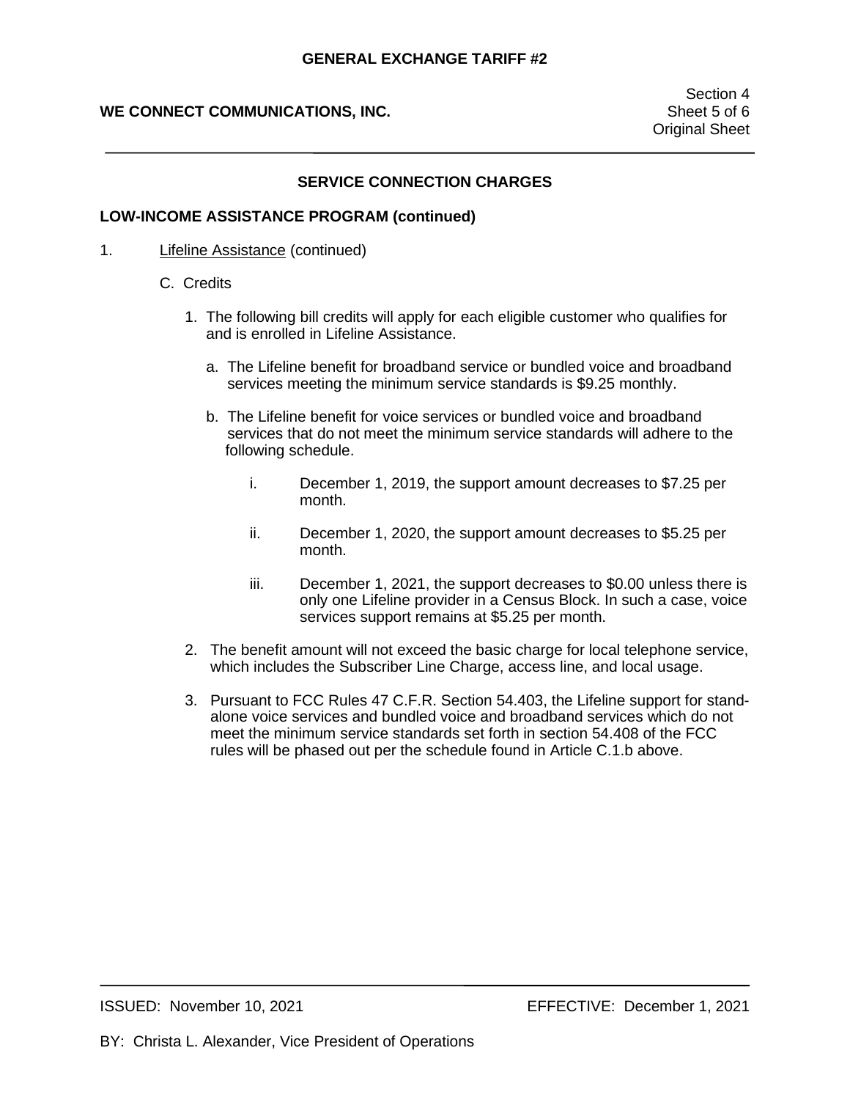#### **SERVICE CONNECTION CHARGES**

#### **LOW-INCOME ASSISTANCE PROGRAM (continued)**

- 1. Lifeline Assistance (continued)
	- C. Credits
		- 1. The following bill credits will apply for each eligible customer who qualifies for and is enrolled in Lifeline Assistance.
			- a. The Lifeline benefit for broadband service or bundled voice and broadband services meeting the minimum service standards is \$9.25 monthly.
			- b. The Lifeline benefit for voice services or bundled voice and broadband services that do not meet the minimum service standards will adhere to the following schedule.
				- i. December 1, 2019, the support amount decreases to \$7.25 per month.
				- ii. December 1, 2020, the support amount decreases to \$5.25 per month.
				- iii. December 1, 2021, the support decreases to \$0.00 unless there is only one Lifeline provider in a Census Block. In such a case, voice services support remains at \$5.25 per month.
		- 2. The benefit amount will not exceed the basic charge for local telephone service, which includes the Subscriber Line Charge, access line, and local usage.
		- 3. Pursuant to FCC Rules 47 C.F.R. Section 54.403, the Lifeline support for stand alone voice services and bundled voice and broadband services which do not meet the minimum service standards set forth in section 54.408 of the FCC rules will be phased out per the schedule found in Article C.1.b above.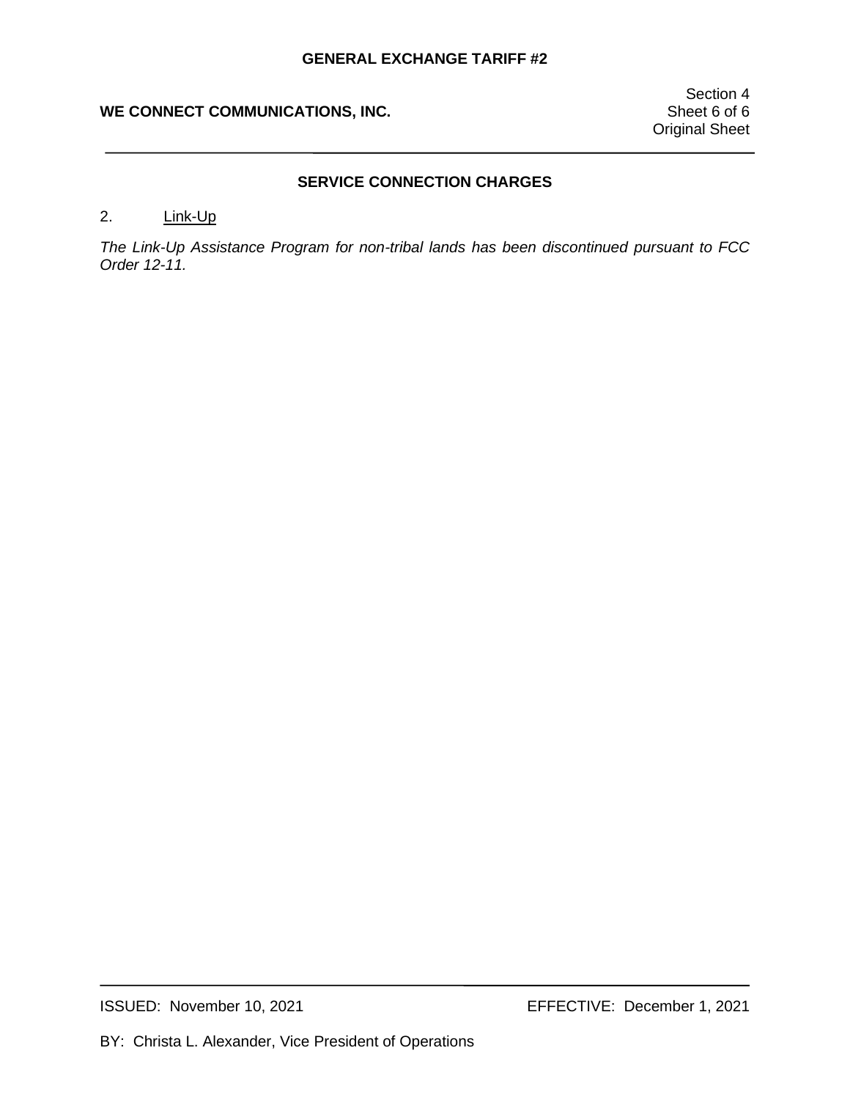# **SERVICE CONNECTION CHARGES**

### 2. Link-Up

*The Link-Up Assistance Program for non-tribal lands has been discontinued pursuant to FCC Order 12-11.*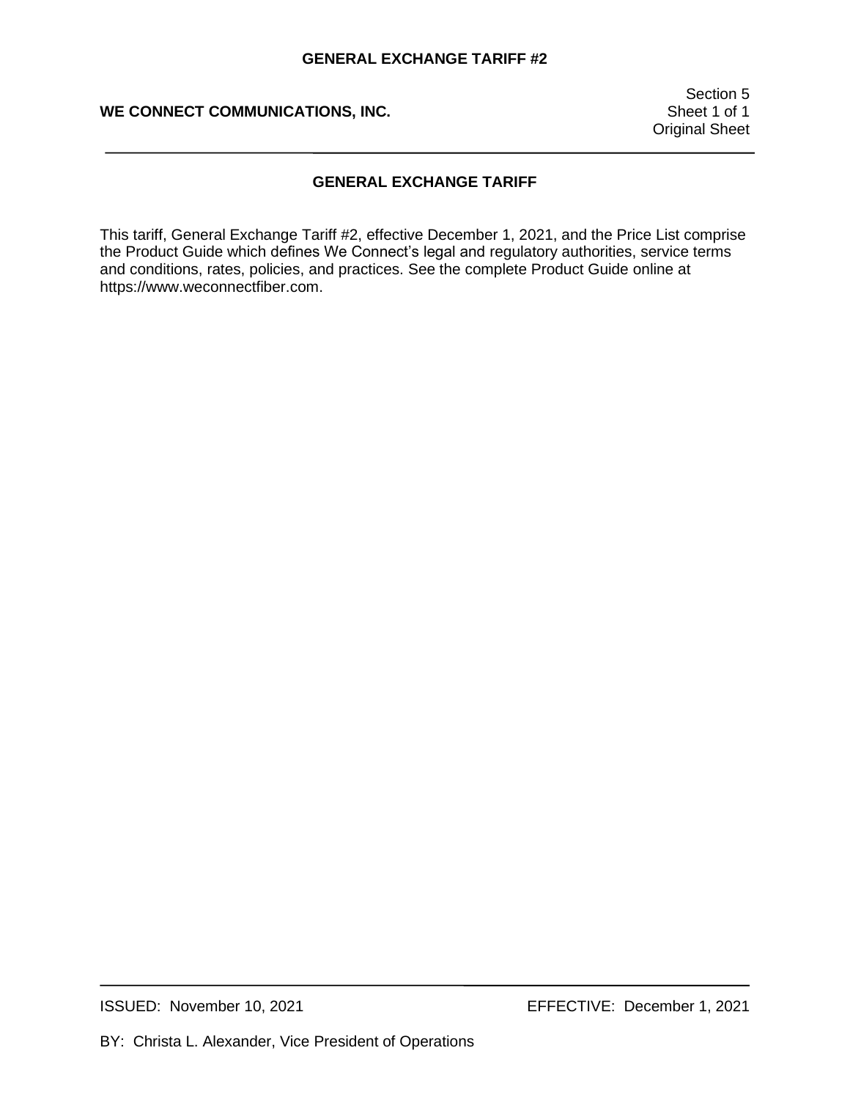Section 5 Original Sheet

# **GENERAL EXCHANGE TARIFF**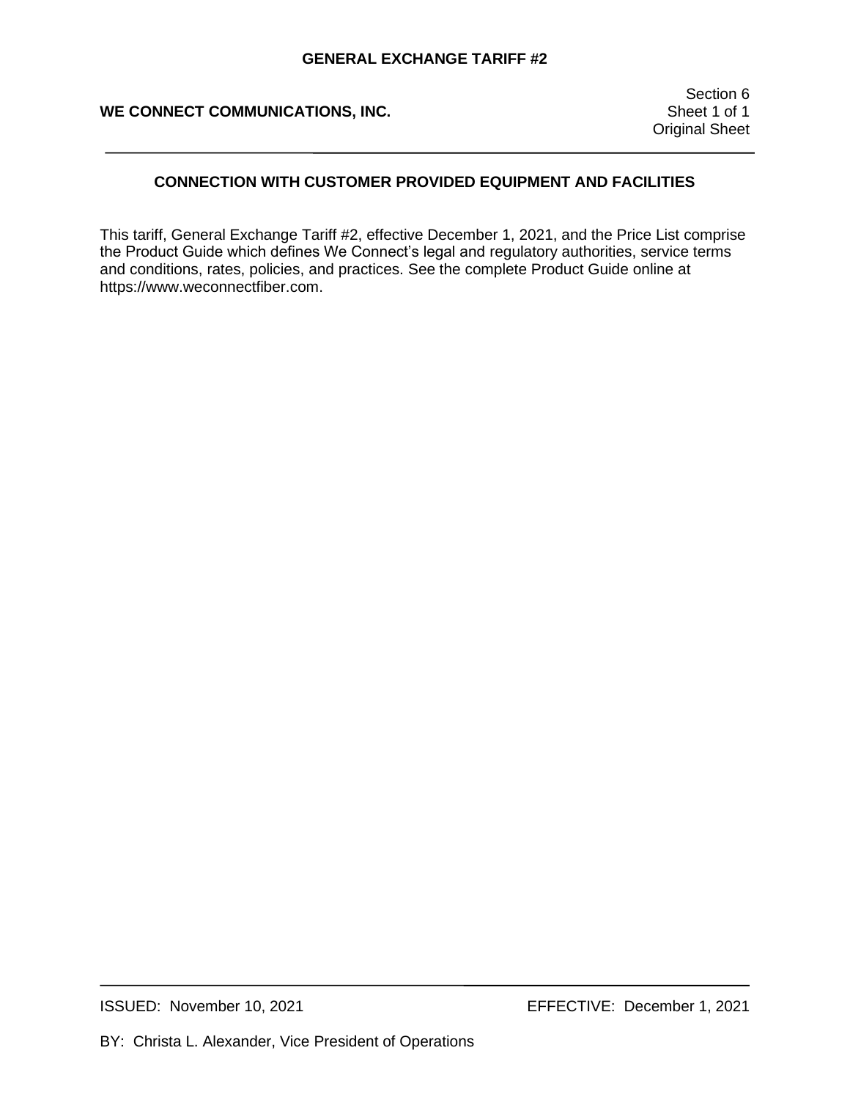Section 6 Original Sheet

# **CONNECTION WITH CUSTOMER PROVIDED EQUIPMENT AND FACILITIES**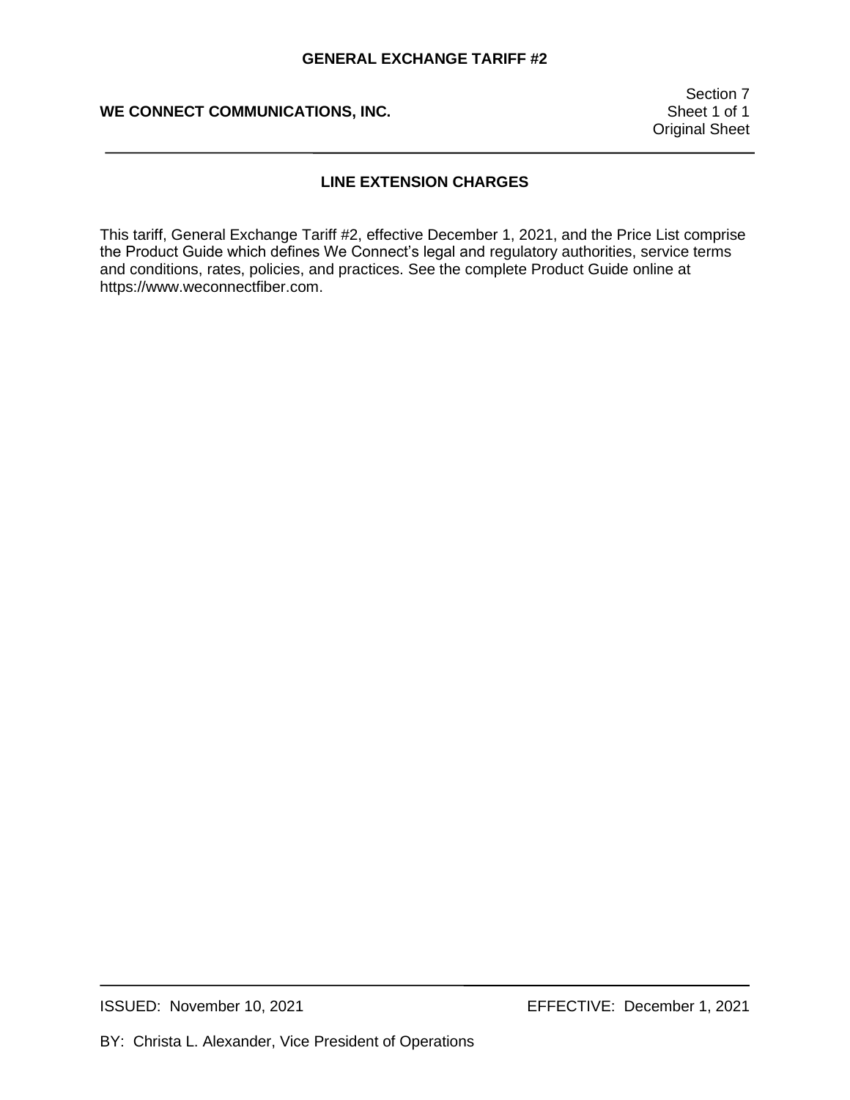Section 7 Original Sheet

# **LINE EXTENSION CHARGES**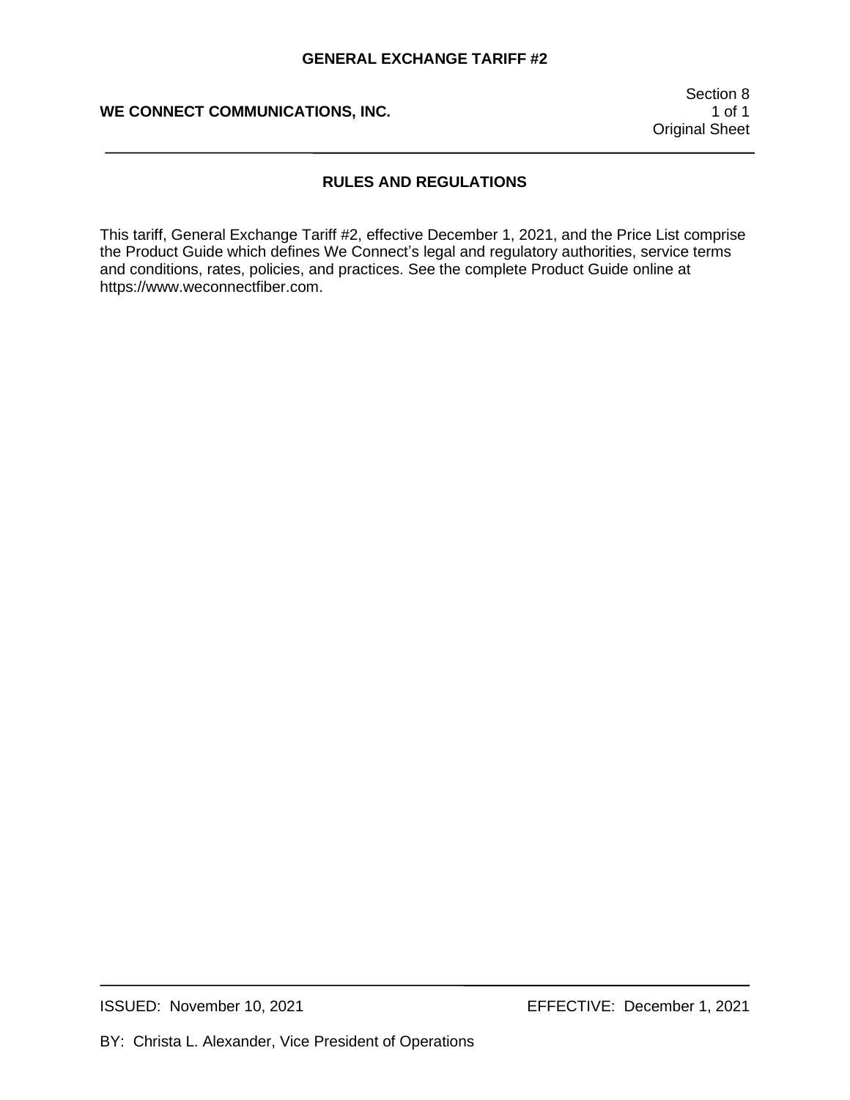Section 8 Original Sheet

## **RULES AND REGULATIONS**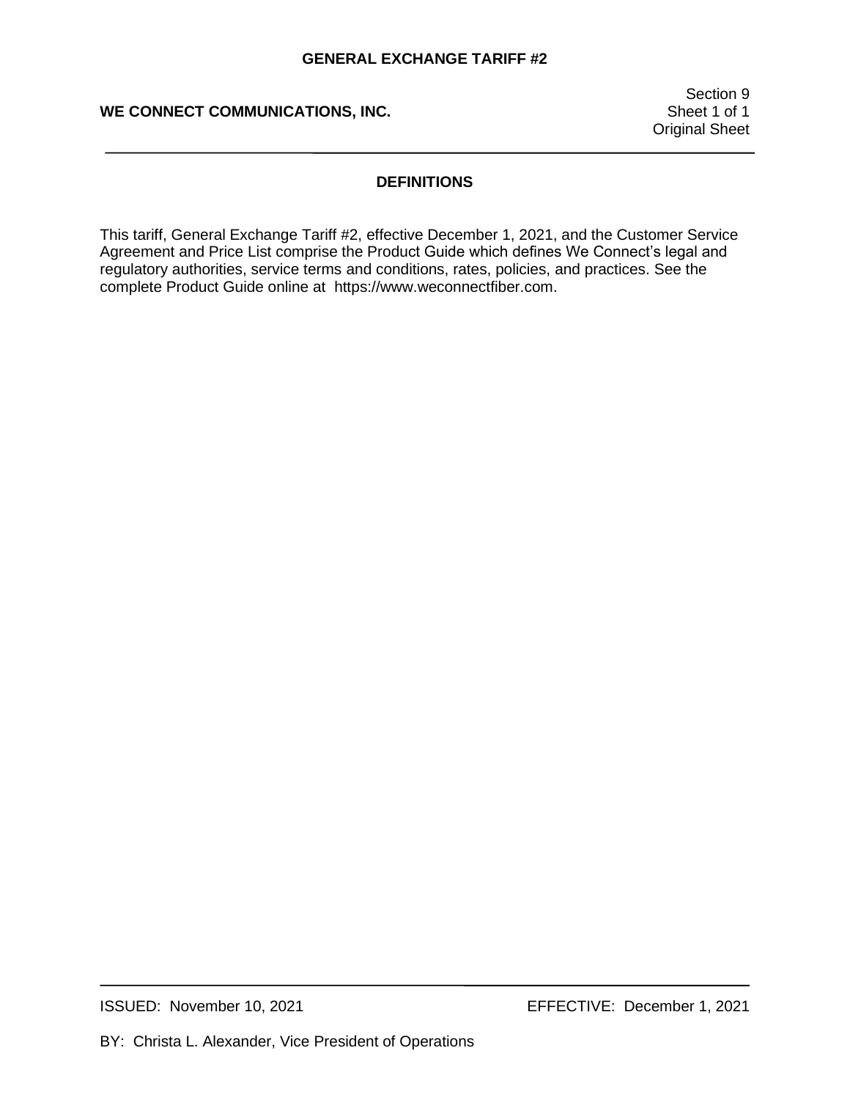Section 9 Original Sheet

## **DEFINITIONS**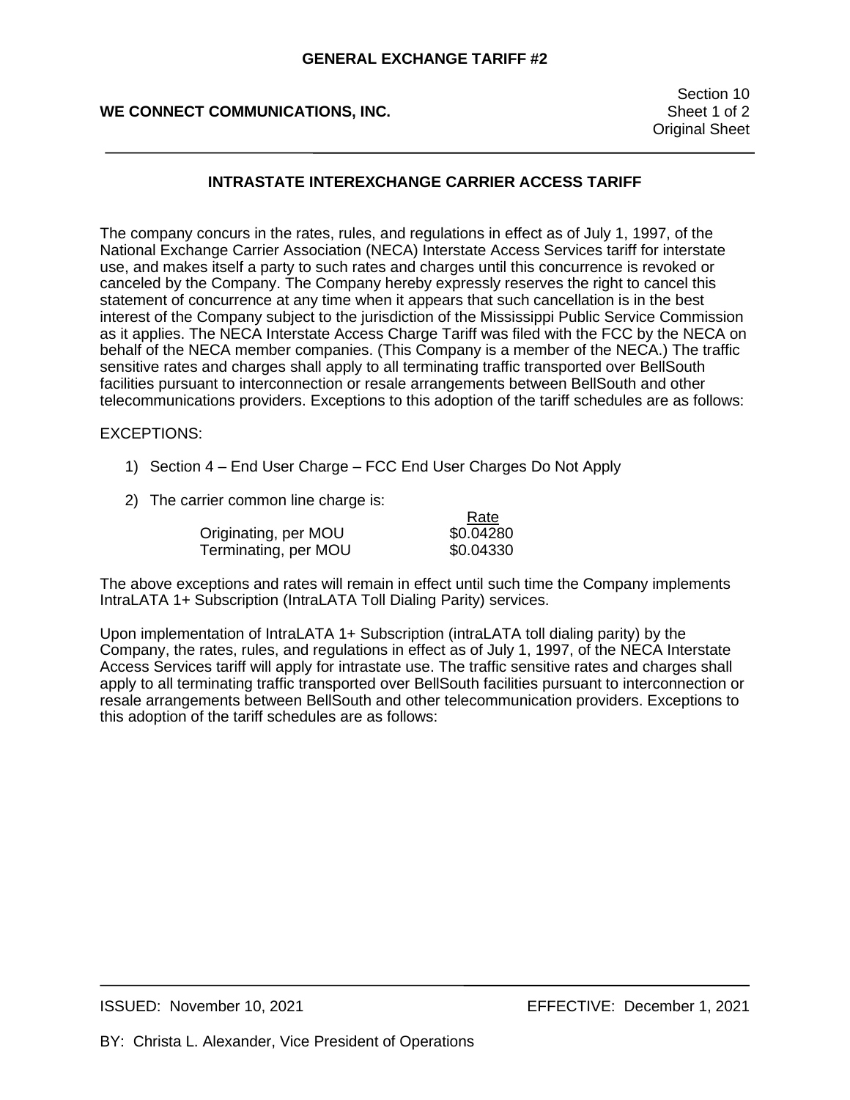# **INTRASTATE INTEREXCHANGE CARRIER ACCESS TARIFF**

The company concurs in the rates, rules, and regulations in effect as of July 1, 1997, of the National Exchange Carrier Association (NECA) Interstate Access Services tariff for interstate use, and makes itself a party to such rates and charges until this concurrence is revoked or canceled by the Company. The Company hereby expressly reserves the right to cancel this statement of concurrence at any time when it appears that such cancellation is in the best interest of the Company subject to the jurisdiction of the Mississippi Public Service Commission as it applies. The NECA Interstate Access Charge Tariff was filed with the FCC by the NECA on behalf of the NECA member companies. (This Company is a member of the NECA.) The traffic sensitive rates and charges shall apply to all terminating traffic transported over BellSouth facilities pursuant to interconnection or resale arrangements between BellSouth and other telecommunications providers. Exceptions to this adoption of the tariff schedules are as follows:

EXCEPTIONS:

- 1) Section 4 End User Charge FCC End User Charges Do Not Apply
- 2) The carrier common line charge is:

|                      | Rate      |
|----------------------|-----------|
| Originating, per MOU | \$0.04280 |
| Terminating, per MOU | \$0.04330 |

The above exceptions and rates will remain in effect until such time the Company implements IntraLATA 1+ Subscription (IntraLATA Toll Dialing Parity) services.

Upon implementation of IntraLATA 1+ Subscription (intraLATA toll dialing parity) by the Company, the rates, rules, and regulations in effect as of July 1, 1997, of the NECA Interstate Access Services tariff will apply for intrastate use. The traffic sensitive rates and charges shall apply to all terminating traffic transported over BellSouth facilities pursuant to interconnection or resale arrangements between BellSouth and other telecommunication providers. Exceptions to this adoption of the tariff schedules are as follows: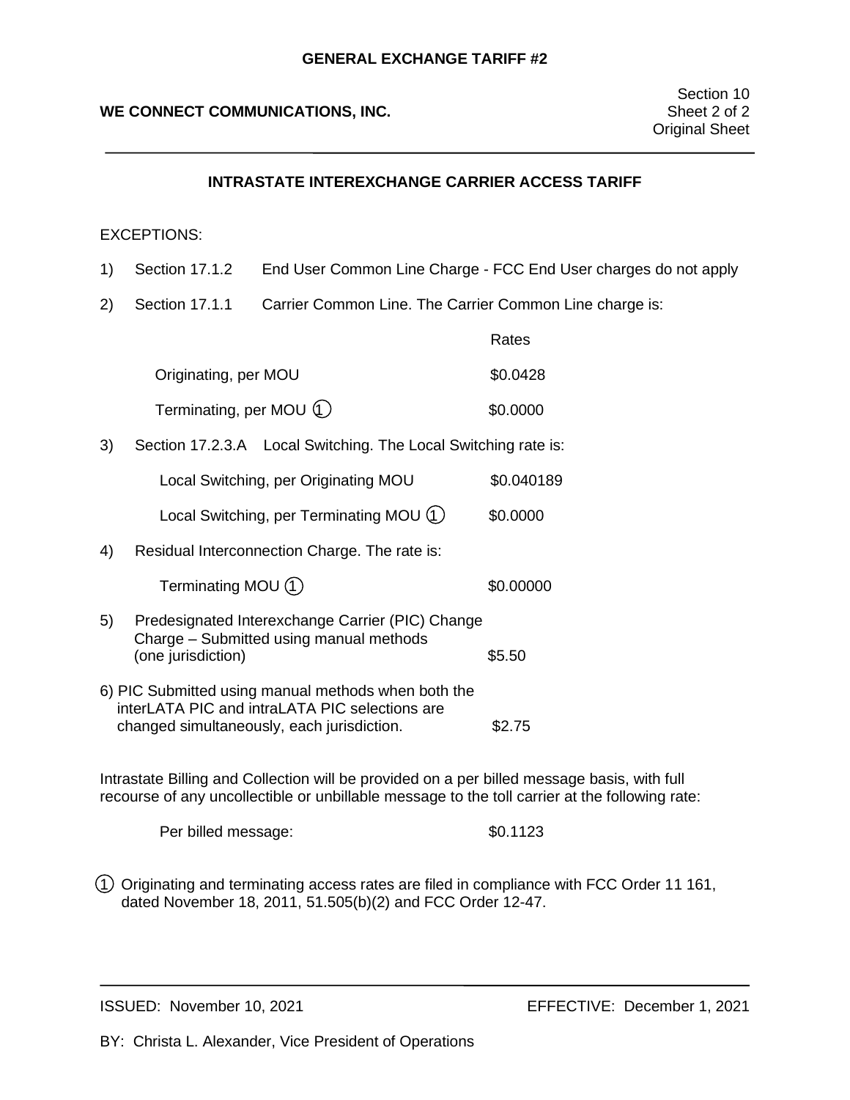### **INTRASTATE INTEREXCHANGE CARRIER ACCESS TARIFF**

#### EXCEPTIONS:

- 1) Section 17.1.2 End User Common Line Charge FCC End User charges do not apply
- 2) Section 17.1.1 Carrier Common Line. The Carrier Common Line charge is:

|    |                                                                                                                                                     | Rates      |
|----|-----------------------------------------------------------------------------------------------------------------------------------------------------|------------|
|    | Originating, per MOU                                                                                                                                | \$0.0428   |
|    | Terminating, per MOU 1                                                                                                                              | \$0.0000   |
| 3) | Section 17.2.3.A Local Switching. The Local Switching rate is:                                                                                      |            |
|    | Local Switching, per Originating MOU                                                                                                                | \$0.040189 |
|    | Local Switching, per Terminating MOU (1)                                                                                                            | \$0.0000   |
| 4) | Residual Interconnection Charge. The rate is:                                                                                                       |            |
|    | Terminating MOU (1)                                                                                                                                 | \$0.00000  |
| 5) | Predesignated Interexchange Carrier (PIC) Change<br>Charge - Submitted using manual methods<br>(one jurisdiction)                                   | \$5.50     |
|    | 6) PIC Submitted using manual methods when both the<br>interLATA PIC and intraLATA PIC selections are<br>changed simultaneously, each jurisdiction. | \$2.75     |

Intrastate Billing and Collection will be provided on a per billed message basis, with full recourse of any uncollectible or unbillable message to the toll carrier at the following rate:

| Per billed message: | \$0.1123 |
|---------------------|----------|
|---------------------|----------|

1 Originating and terminating access rates are filed in compliance with FCC Order 11 161, dated November 18, 2011, 51.505(b)(2) and FCC Order 12-47.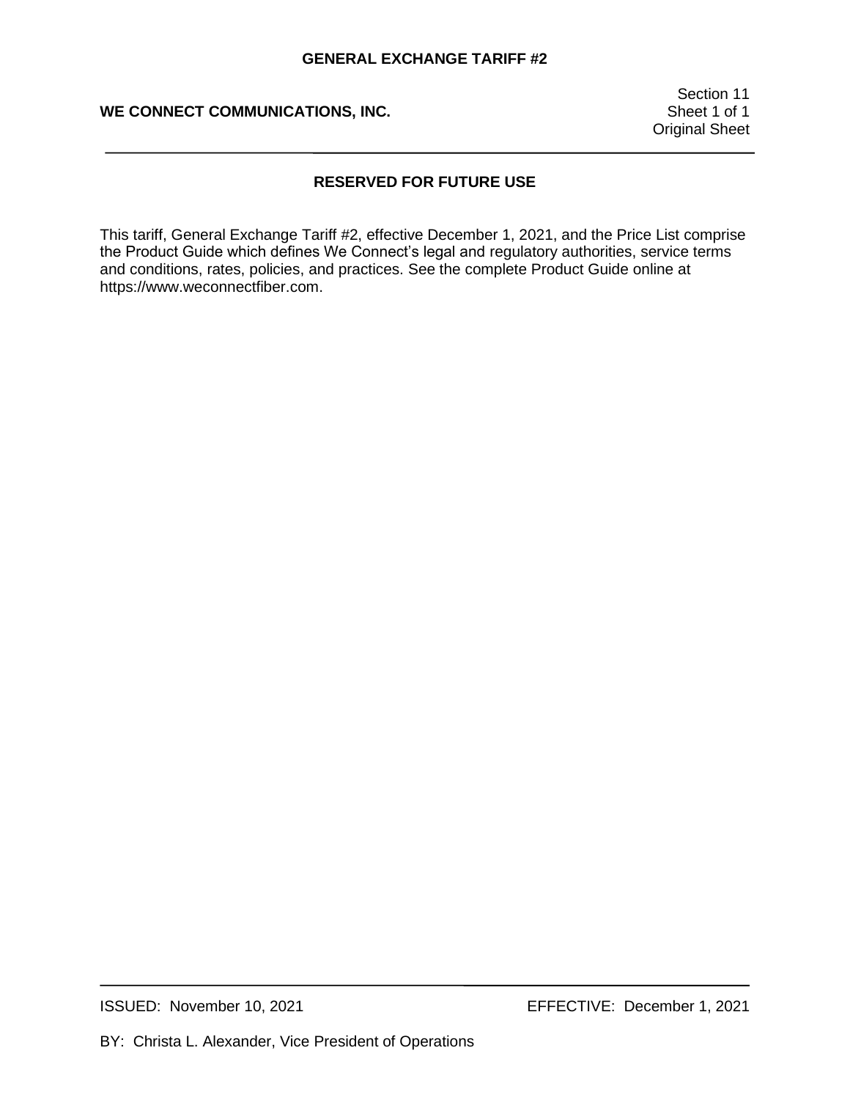Section 11 Original Sheet

# **RESERVED FOR FUTURE USE**